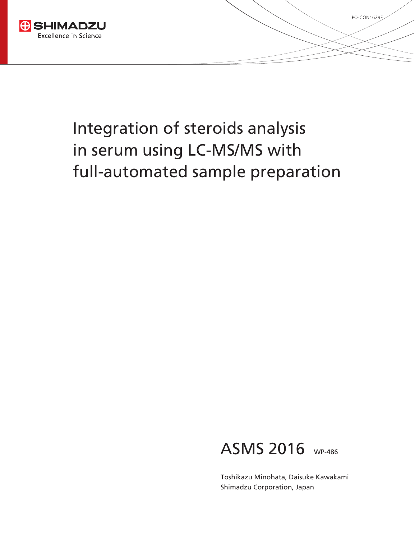



PO-CON1629E

Toshikazu Minohata, Daisuke Kawakami Shimadzu Corporation, Japan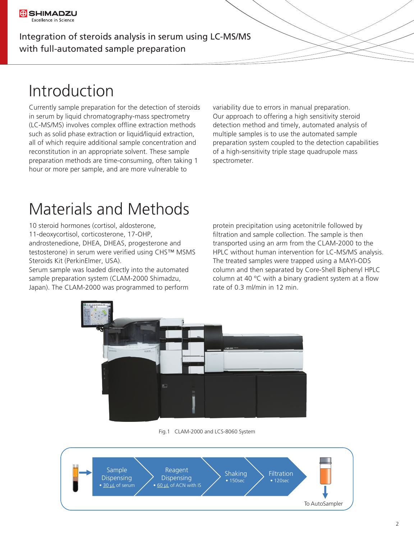# Introduction

Currently sample preparation for the detection of steroids in serum by liquid chromatography-mass spectrometry (LC-MS/MS) involves complex offline extraction methods such as solid phase extraction or liquid/liquid extraction, all of which require additional sample concentration and reconstitution in an appropriate solvent. These sample preparation methods are time-consuming, often taking 1 hour or more per sample, and are more vulnerable to

variability due to errors in manual preparation. Our approach to offering a high sensitivity steroid detection method and timely, automated analysis of multiple samples is to use the automated sample preparation system coupled to the detection capabilities of a high-sensitivity triple stage quadrupole mass spectrometer.

### Materials and Methods

10 steroid hormones (cortisol, aldosterone, 11-deoxycortisol, corticosterone, 17-OHP, androstenedione, DHEA, DHEAS, progesterone and testosterone) in serum were verified using CHS™ MSMS Steroids Kit (PerkinElmer, USA).

Serum sample was loaded directly into the automated sample preparation system (CLAM-2000 Shimadzu, Japan). The CLAM-2000 was programmed to perform

protein precipitation using acetonitrile followed by filtration and sample collection. The sample is then transported using an arm from the CLAM-2000 to the HPLC without human intervention for LC-MS/MS analysis. The treated samples were trapped using a MAYI-ODS column and then separated by Core-Shell Biphenyl HPLC column at 40  $^{\circ}$ C with a binary gradient system at a flow rate of 0.3 ml/min in 12 min.



Fig.1 CLAM-2000 and LCS-8060 System

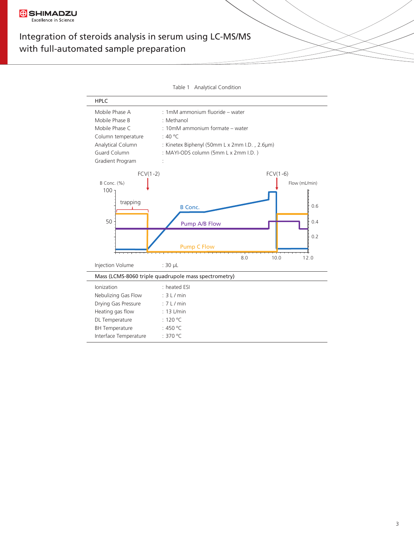

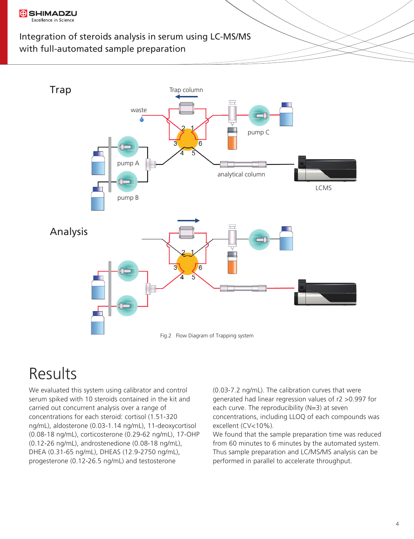



### Results

We evaluated this system using calibrator and control serum spiked with 10 steroids contained in the kit and carried out concurrent analysis over a range of concentrations for each steroid: cortisol (1.51-320 ng/mL), aldosterone (0.03-1.14 ng/mL), 11-deoxycortisol (0.08-18 ng/mL), corticosterone (0.29-62 ng/mL), 17-OHP (0.12-26 ng/mL), androstenedione (0.08-18 ng/mL), DHEA (0.31-65 ng/mL), DHEAS (12.9-2750 ng/mL), progesterone (0.12-26.5 ng/mL) and testosterone

(0.03-7.2 ng/mL). The calibration curves that were generated had linear regression values of r2 >0.997 for each curve. The reproducibility (N=3) at seven concentrations, including LLOQ of each compounds was excellent (CV<10%).

We found that the sample preparation time was reduced from 60 minutes to 6 minutes by the automated system. Thus sample preparation and LC/MS/MS analysis can be performed in parallel to accelerate throughput.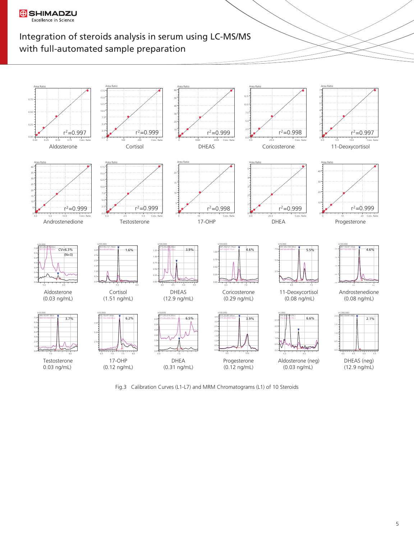



Fig.3 Calibration Curves (L1-L7) and MRM Chromatograms (L1) of 10 Steroids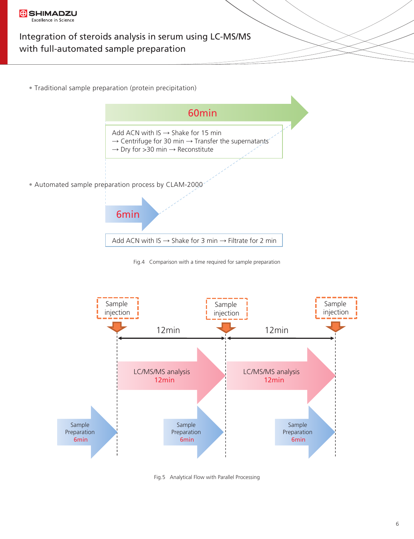

• Traditional sample preparation (protein precipitation)



Fig.4 Comparison with a time required for sample preparation



Fig.5 Analytical Flow with Parallel Processing